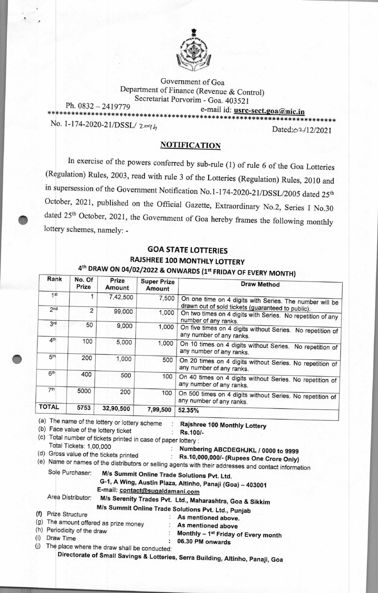

Government of Goa Department of Finance (Revenue & Control) Secretariat Porvorim - Goa. 403521 Ph. 0832-2419779 e-mail id: usrc-sect.goa@nic.in \*\*\*\*\*\*\*\*\*\*\*\*\*\*\*\*\*\*

No. 1-174-2020-21/DSSL/2xq4

Dated: 62/12/2021

## **NOTIFICATION**

In exercise of the powers conferred by sub-rule (1) of rule 6 of the Goa Lotteries (Regulation) Rules, 2003, read with rule 3 of the Lotteries (Regulation) Rules, 2010 and in supersession of the Government Notification No.1-174-2020-21/DSSL/2005 dated 25th October, 2021, published on the Official Gazette, Extraordinary No.2, Series I No.30 dated 25<sup>th</sup> October, 2021, the Government of Goa hereby frames the following monthly lottery schemes, namely: -

## **GOA STATE LOTTERIES** RAJSHREE 100 MONTHLY LOTTERY 4th DRAW ON 04/02/2022 & ONWARDS (1st FRIDAY OF EVERY MONTH)

| Rank             | No. Of<br>Prize                            | Prize<br>Amount                                                                | <b>Super Prize</b><br>Amount                                   | <b>Draw Method</b>                                                                                                                                                                                                                                                                                                                             |
|------------------|--------------------------------------------|--------------------------------------------------------------------------------|----------------------------------------------------------------|------------------------------------------------------------------------------------------------------------------------------------------------------------------------------------------------------------------------------------------------------------------------------------------------------------------------------------------------|
| 1st              | 1                                          | 7,42,500                                                                       | 7,500                                                          | On one time on 4 digits with Series. The number will be                                                                                                                                                                                                                                                                                        |
| 2 <sub>nd</sub>  | $\overline{2}$                             | 99,000                                                                         | 1,000                                                          | drawn out of sold tickets (guaranteed to public).<br>On two times on 4 digits with Series. No repetition of any<br>number of any ranks.                                                                                                                                                                                                        |
| 3rd              | 50                                         | 9,000                                                                          | 1,000                                                          | On five times on 4 digits without Series. No repetition of<br>any number of any ranks.                                                                                                                                                                                                                                                         |
| 4 <sup>th</sup>  | 100                                        | 5,000                                                                          | 1,000                                                          | On 10 times on 4 digits without Series. No repetition of<br>any number of any ranks.                                                                                                                                                                                                                                                           |
| 5 <sup>th</sup>  | 200                                        | 1,000                                                                          | 500                                                            | On 20 times on 4 digits without Series. No repetition of<br>any number of any ranks.                                                                                                                                                                                                                                                           |
| 6 <sup>th</sup>  | 400                                        | 500                                                                            | 100                                                            | On 40 times on 4 digits without Series. No repetition of<br>any number of any ranks.                                                                                                                                                                                                                                                           |
| 7 <sup>th</sup>  | 5000                                       | 200                                                                            | 100                                                            | On 500 times on 4 digits without Series. No repetition of<br>any number of any ranks.                                                                                                                                                                                                                                                          |
| <b>TOTAL</b>     | 5753                                       | 32,90,500                                                                      | 7,99,500                                                       | 52.35%                                                                                                                                                                                                                                                                                                                                         |
|                  | Total Tickets: 1,00,000<br>Sole Purchaser: | (b) Face value of the lottery ticket<br>(d) Gross value of the tickets printed | (c) Total number of tickets printed in case of paper lottery : | Rajshree 100 Monthly Lottery<br>Rs.100/-<br>Numbering ABCDEGHJKL / 0000 to 9999<br>Rs.10,000,000/- (Rupees One Crore Only)<br>(e) Name or names of the distributors or selling agents with their addresses and contact information<br>M/s Summit Online Trade Solutions Pvt. Ltd.<br>G-1, A Wing, Austin Plaza, Altinho, Panaji (Goa) - 403001 |
|                  | Area Distributor:                          |                                                                                | E-mail: contact@sugaldamani.com                                |                                                                                                                                                                                                                                                                                                                                                |
|                  |                                            |                                                                                |                                                                | M/s Serenity Trades Pvt. Ltd., Maharashtra, Goa & Sikkim                                                                                                                                                                                                                                                                                       |
| (f)              | Prize Structure                            |                                                                                |                                                                | M/s Summit Online Trade Solutions Pvt. Ltd., Punjab<br>As mentioned above.                                                                                                                                                                                                                                                                     |
| (g)              |                                            | The amount offered as prize money                                              |                                                                | As mentioned above                                                                                                                                                                                                                                                                                                                             |
|                  | (h) Periodicity of the draw                |                                                                                |                                                                | Monthly - 1 <sup>st</sup> Friday of Every month                                                                                                                                                                                                                                                                                                |
| Draw Time<br>(i) |                                            |                                                                                |                                                                | 06.30 PM onwards                                                                                                                                                                                                                                                                                                                               |
| (j)              |                                            | The place where the draw shall be conducted:                                   |                                                                |                                                                                                                                                                                                                                                                                                                                                |
|                  |                                            |                                                                                |                                                                | Directorate of Small Savings & Lotteries, Serra Building, Altinho, Panaji, Goa                                                                                                                                                                                                                                                                 |